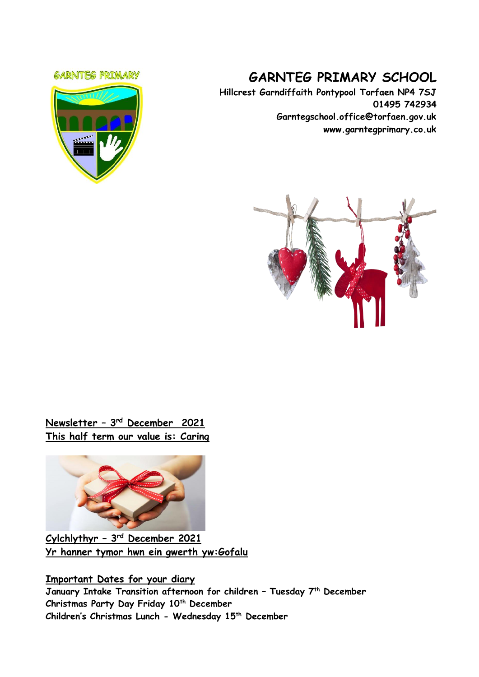#### **GARNTEG PRIMARY**



# **GARNTEG PRIMARY SCHOOL**

**Hillcrest Garndiffaith Pontypool Torfaen NP4 7SJ 01495 742934 Garntegschool.office@torfaen.gov.uk www.garntegprimary.co.uk**



# **Newsletter – 3 rd December 2021 This half term our value is: Caring**



**Cylchlythyr – 3 rd December 2021 Yr hanner tymor hwn ein gwerth yw:Gofalu**

**Important Dates for your diary January Intake Transition afternoon for children – Tuesday 7th December Christmas Party Day Friday 10th December Children's Christmas Lunch - Wednesday 15 th December**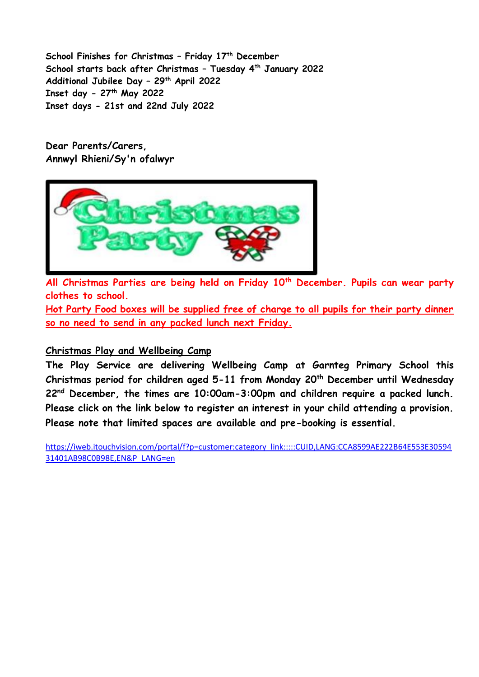**School Finishes for Christmas – Friday 17th December School starts back after Christmas – Tuesday 4th January 2022 Additional Jubilee Day – 29th April 2022 Inset day - 27th May 2022 Inset days - 21st and 22nd July 2022**

**Dear Parents/Carers, Annwyl Rhieni/Sy'n ofalwyr**



**All Christmas Parties are being held on Friday 10th December. Pupils can wear party clothes to school.**

**Hot Party Food boxes will be supplied free of charge to all pupils for their party dinner so no need to send in any packed lunch next Friday.**

## **Christmas Play and Wellbeing Camp**

**The Play Service are delivering Wellbeing Camp at Garnteg Primary School this Christmas period for children aged 5-11 from Monday 20th December until Wednesday 22nd December, the times are 10:00am-3:00pm and children require a packed lunch. Please click on the link below to register an interest in your child attending a provision. Please note that limited spaces are available and pre-booking is essential.** 

[https://iweb.itouchvision.com/portal/f?p=customer:category\\_link:::::CUID,LANG:CCA8599AE222B64E553E30594](https://eur03.safelinks.protection.outlook.com/?url=https%3A%2F%2Fiweb.itouchvision.com%2Fportal%2Ff%3Fp%3Dcustomer%3Acategory_link%3A%3A%3A%3A%3ACUID%2CLANG%3ACCA8599AE222B64E553E3059431401AB98C0B98E%2CEN%26P_LANG%3Den&data=04%7C01%7CSharron.Williams%40torfaen.gov.uk%7C578907f889df421ae14e08d9b339621d%7C2c4d0079c52c4bb3b3cad8eaf1b6b7d5%7C0%7C0%7C637737881301001547%7CUnknown%7CTWFpbGZsb3d8eyJWIjoiMC4wLjAwMDAiLCJQIjoiV2luMzIiLCJBTiI6Ik1haWwiLCJXVCI6Mn0%3D%7C3000&sdata=sxGv%2BSvAyBYAAwBfN9J8PSAeFcjlZpofQN3gXTvqLtQ%3D&reserved=0) [31401AB98C0B98E,EN&P\\_LANG=en](https://eur03.safelinks.protection.outlook.com/?url=https%3A%2F%2Fiweb.itouchvision.com%2Fportal%2Ff%3Fp%3Dcustomer%3Acategory_link%3A%3A%3A%3A%3ACUID%2CLANG%3ACCA8599AE222B64E553E3059431401AB98C0B98E%2CEN%26P_LANG%3Den&data=04%7C01%7CSharron.Williams%40torfaen.gov.uk%7C578907f889df421ae14e08d9b339621d%7C2c4d0079c52c4bb3b3cad8eaf1b6b7d5%7C0%7C0%7C637737881301001547%7CUnknown%7CTWFpbGZsb3d8eyJWIjoiMC4wLjAwMDAiLCJQIjoiV2luMzIiLCJBTiI6Ik1haWwiLCJXVCI6Mn0%3D%7C3000&sdata=sxGv%2BSvAyBYAAwBfN9J8PSAeFcjlZpofQN3gXTvqLtQ%3D&reserved=0)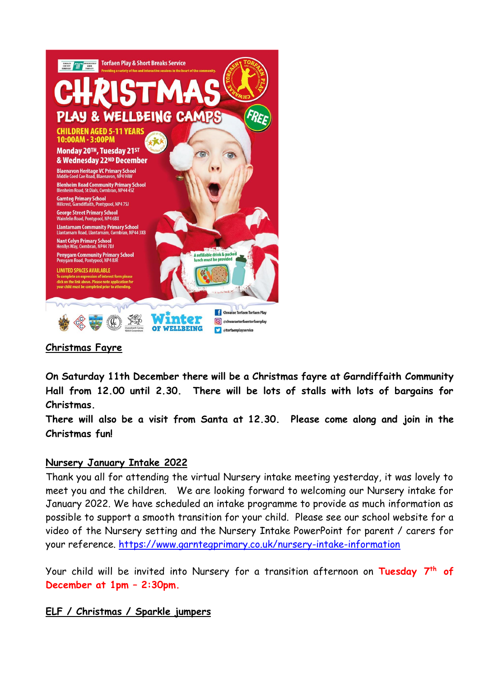

# **Christmas Fayre**

**On Saturday 11th December there will be a Christmas fayre at Garndiffaith Community Hall from 12.00 until 2.30. There will be lots of stalls with lots of bargains for Christmas.**

**There will also be a visit from Santa at 12.30. Please come along and join in the Christmas fun!**

## **Nursery January Intake 2022**

Thank you all for attending the virtual Nursery intake meeting yesterday, it was lovely to meet you and the children. We are looking forward to welcoming our Nursery intake for January 2022. We have scheduled an intake programme to provide as much information as possible to support a smooth transition for your child. Please see our school website for a video of the Nursery setting and the Nursery Intake PowerPoint for parent / carers for your reference.<https://www.garntegprimary.co.uk/nursery-intake-information>

Your child will be invited into Nursery for a transition afternoon on **Tuesday 7 th of December at 1pm – 2:30pm.**

## **ELF / Christmas / Sparkle jumpers**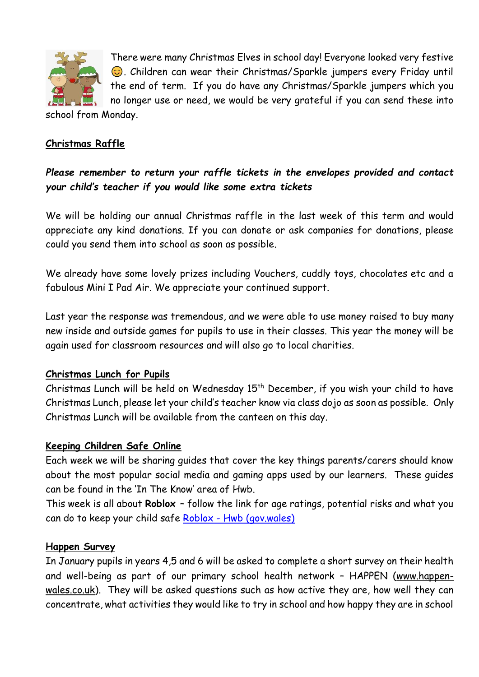

There were many Christmas Elves in school day! Everyone looked very festive **.** Children can wear their Christmas/Sparkle jumpers every Friday until the end of term. If you do have any Christmas/Sparkle jumpers which you

no longer use or need, we would be very grateful if you can send these into school from Monday.

## **Christmas Raffle**

*Please remember to return your raffle tickets in the envelopes provided and contact your child's teacher if you would like some extra tickets*

We will be holding our annual Christmas raffle in the last week of this term and would appreciate any kind donations. If you can donate or ask companies for donations, please could you send them into school as soon as possible.

We already have some lovely prizes including Vouchers, cuddly toys, chocolates etc and a fabulous Mini I Pad Air. We appreciate your continued support.

Last year the response was tremendous, and we were able to use money raised to buy many new inside and outside games for pupils to use in their classes. This year the money will be again used for classroom resources and will also go to local charities.

## **Christmas Lunch for Pupils**

Christmas Lunch will be held on Wednesday  $15<sup>th</sup>$  December, if you wish your child to have Christmas Lunch, please let your child's teacher know via class dojo as soon as possible. Only Christmas Lunch will be available from the canteen on this day.

## **Keeping Children Safe Online**

Each week we will be sharing guides that cover the key things parents/carers should know about the most popular social media and gaming apps used by our learners. These guides can be found in the 'In The Know' area of Hwb.

This week is all about **Roblox** – follow the link for age ratings, potential risks and what you can do to keep your child safe Roblox - [Hwb \(gov.wales\)](https://hwb.gov.wales/zones/keeping-safe-online/in-the-know/roblox/)

#### **Happen Survey**

In January pupils in years 4,5 and 6 will be asked to complete a short survey on their health and well-being as part of our primary school health network – HAPPEN [\(www.happen](https://eur03.safelinks.protection.outlook.com/?url=http%3A%2F%2Fwww.happen-wales.co.uk%2F&data=04%7C01%7CLinda.Davies%40torfaen.gov.uk%7Ccba7c9cdf62f4c6b03dd08d9b64fe66e%7C2c4d0079c52c4bb3b3cad8eaf1b6b7d5%7C0%7C0%7C637741276539056152%7CUnknown%7CTWFpbGZsb3d8eyJWIjoiMC4wLjAwMDAiLCJQIjoiV2luMzIiLCJBTiI6Ik1haWwiLCJXVCI6Mn0%3D%7C3000&sdata=OXBHW4wW2Ip9c6bKQ%2FhQNte7Mfel5tXdib5spxY6mPo%3D&reserved=0)[wales.co.uk\)](https://eur03.safelinks.protection.outlook.com/?url=http%3A%2F%2Fwww.happen-wales.co.uk%2F&data=04%7C01%7CLinda.Davies%40torfaen.gov.uk%7Ccba7c9cdf62f4c6b03dd08d9b64fe66e%7C2c4d0079c52c4bb3b3cad8eaf1b6b7d5%7C0%7C0%7C637741276539056152%7CUnknown%7CTWFpbGZsb3d8eyJWIjoiMC4wLjAwMDAiLCJQIjoiV2luMzIiLCJBTiI6Ik1haWwiLCJXVCI6Mn0%3D%7C3000&sdata=OXBHW4wW2Ip9c6bKQ%2FhQNte7Mfel5tXdib5spxY6mPo%3D&reserved=0). They will be asked questions such as how active they are, how well they can concentrate, what activities they would like to try in school and how happy they are in school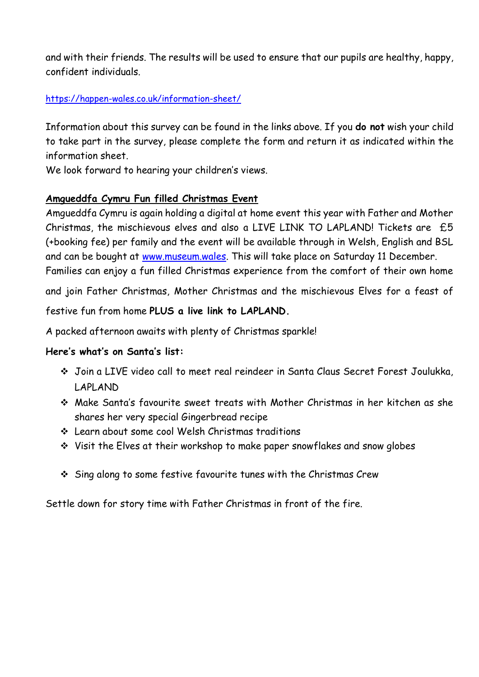and with their friends. The results will be used to ensure that our pupils are healthy, happy, confident individuals.

## [https://happen-wales.co.uk/information-sheet/](https://eur03.safelinks.protection.outlook.com/?url=https%3A%2F%2Fhappen-wales.co.uk%2Finformation-sheet%2F&data=04%7C01%7CLinda.Davies%40torfaen.gov.uk%7Ccba7c9cdf62f4c6b03dd08d9b64fe66e%7C2c4d0079c52c4bb3b3cad8eaf1b6b7d5%7C0%7C0%7C637741276539066123%7CUnknown%7CTWFpbGZsb3d8eyJWIjoiMC4wLjAwMDAiLCJQIjoiV2luMzIiLCJBTiI6Ik1haWwiLCJXVCI6Mn0%3D%7C3000&sdata=B1HtoQdy5coc70gbKZYChWvYK3bUxoGx6tKzs%2FRqSPo%3D&reserved=0)

Information about this survey can be found in the links above. If you **do not** wish your child to take part in the survey, please complete the form and return it as indicated within the information sheet.

We look forward to hearing your children's views.

## **Amgueddfa Cymru Fun filled Christmas Event**

Amgueddfa Cymru is again holding a digital at home event this year with Father and Mother Christmas, the mischievous elves and also a LIVE LINK TO LAPLAND! Tickets are £5 (+booking fee) per family and the event will be available through in Welsh, English and BSL and can be bought at [www.museum.wales.](http://www.museum.wales/) This will take place on Saturday 11 December. Families can enjoy a fun filled Christmas experience from the comfort of their own home

and join Father Christmas, Mother Christmas and the mischievous Elves for a feast of

festive fun from home **PLUS a live link to LAPLAND.**

A packed afternoon awaits with plenty of Christmas sparkle!

# **Here's what's on Santa's list:**

- ❖ Join a LIVE video call to meet real reindeer in Santa Claus Secret Forest Joulukka, LAPLAND
- ❖ Make Santa's favourite sweet treats with Mother Christmas in her kitchen as she shares her very special Gingerbread recipe
- ❖ Learn about some cool Welsh Christmas traditions
- ❖ Visit the Elves at their workshop to make paper snowflakes and snow globes
- ❖ Sing along to some festive favourite tunes with the Christmas Crew

Settle down for story time with Father Christmas in front of the fire.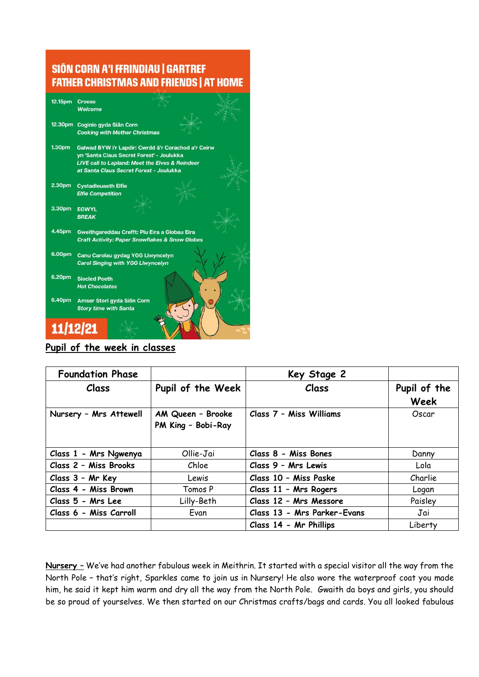## SIÔN CORN A'I FFRINDIAU | GARTREF **FATHER CHRISTMAS AND FRIENDS | AT HOME**

| 12.15pm            | Croeso                                                     |  |  |  |
|--------------------|------------------------------------------------------------|--|--|--|
|                    |                                                            |  |  |  |
|                    | Welcome                                                    |  |  |  |
|                    |                                                            |  |  |  |
|                    | 12.30pm Coginio gyda Siân Corn                             |  |  |  |
|                    | <b>Cooking with Mother Christmas</b>                       |  |  |  |
|                    |                                                            |  |  |  |
| 1.30 <sub>pm</sub> | Galwad BYW i'r Lapdir: Cwrdd â'r Corachod a'r Ceirw        |  |  |  |
|                    |                                                            |  |  |  |
|                    | yn 'Santa Claus Secret Forest' - Joulukka                  |  |  |  |
|                    | <b>LIVE call to Lapland: Meet the Elves &amp; Reindeer</b> |  |  |  |
|                    | at Santa Claus Secret Forest - Joulukka                    |  |  |  |
|                    |                                                            |  |  |  |
| 2.30pm             | <b>Cystadleuaeth Elfie</b>                                 |  |  |  |
|                    | <b>Elfie Competition</b>                                   |  |  |  |
|                    |                                                            |  |  |  |
|                    |                                                            |  |  |  |
| 3.30pm             | <b>EGWYL</b>                                               |  |  |  |
|                    | <b>BREAK</b>                                               |  |  |  |
|                    |                                                            |  |  |  |
| 4.45pm             | Gweithgareddau Crefft: Plu Eira a Globau Eira              |  |  |  |
|                    |                                                            |  |  |  |
|                    | <b>Craft Activity: Paper Snowflakes &amp; Snow Globes</b>  |  |  |  |
|                    |                                                            |  |  |  |
| 6.00pm             | Canu Carolau gydag YGG Llwyncelyn                          |  |  |  |
|                    | <b>Carol Singing with YGG Llwyncelyn</b>                   |  |  |  |
|                    |                                                            |  |  |  |
| 6.20pm             | <b>Siocled Poeth</b>                                       |  |  |  |
|                    |                                                            |  |  |  |
|                    | <b>Hot Chocolates</b>                                      |  |  |  |
|                    |                                                            |  |  |  |
| 6.40pm             | Amser Stori gyda Siôn Corn                                 |  |  |  |
|                    | <b>Story time with Santa</b>                               |  |  |  |
|                    |                                                            |  |  |  |
|                    |                                                            |  |  |  |
| 11/12/21           |                                                            |  |  |  |
|                    |                                                            |  |  |  |
|                    |                                                            |  |  |  |

## **Pupil of the week in classes**

| <b>Foundation Phase</b> |                                         | Key Stage 2                 |                      |  |
|-------------------------|-----------------------------------------|-----------------------------|----------------------|--|
| <b>Class</b>            | Pupil of the Week                       | Class                       | Pupil of the<br>Week |  |
| Nursery - Mrs Attewell  | AM Queen - Brooke<br>PM King - Bobi-Ray | Class 7 - Miss Williams     | Oscar                |  |
| Class 1 - Mrs Ngwenya   | Ollie-Jai                               | Class 8 - Miss Bones        | Danny                |  |
| Class 2 - Miss Brooks   | Chloe                                   | Class 9 - Mrs Lewis         | Lola                 |  |
| Class 3 - Mr Key        | Lewis                                   | Class 10 - Miss Paske       | Charlie              |  |
| Class 4 - Miss Brown    | Tomos P                                 | Class 11 - Mrs Rogers       | Logan                |  |
| Class 5 - Mrs Lee       | Lilly-Beth                              | Class 12 - Mrs Messore      | Paisley              |  |
| Class 6 - Miss Carroll  | Evan                                    | Class 13 - Mrs Parker-Evans | Jai                  |  |
|                         |                                         | Class 14 - Mr Phillips      | Liberty              |  |

**Nursery –** We've had another fabulous week in Meithrin. It started with a special visitor all the way from the North Pole – that's right, Sparkles came to join us in Nursery! He also wore the waterproof coat you made him, he said it kept him warm and dry all the way from the North Pole. Gwaith da boys and girls, you should be so proud of yourselves. We then started on our Christmas crafts/bags and cards. You all looked fabulous